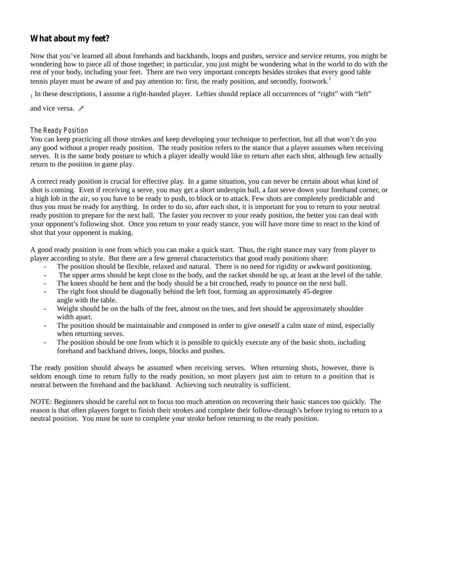# **What about my feet?**

Now that you've learned all about forehands and backhands, loops and pushes, service and service returns, you might be wondering how to piece allof those together; in particular, you just might be wondering what in the world to do with the rest of your body, including your feet. There are two very important concepts besides strokes that every good table tennis player must be aware of and pay attention to: first, the ready position, and secondly, footwork.<sup>1</sup>

<sup>1</sup> In these descriptions, I assume a right-handed player. Lefties should replace alloccurrences of "right" with "left"

and vice versa.  $\mathscr S$ 

### *The Ready Position*

You can keep practicing all those strokes and keep developing your technique to perfection, but all that won't do you any good without a proper ready position. The ready position refers to the stance that a player assumes when receiving serves. It is the same body posture to which a player ideally would like to return after each shot, although few actually return to the position in game play.

A correct ready position is crucial for effective play. In a game situation, you can never be certain about what kind of shot is coming. Even if receiving a serve, you may get a short underspin ball, a fast serve down your forehand corner, or a high lob in the air, so you have to be ready to push, to block or to attack. Few shots are completely predictable and thus you must be ready for anything. In order to do so, after each shot, it is important for you to return to your neutral ready position to prepare for the next ball. The faster you recover to your ready position, the better you can deal with your opponent's following shot. Once you return to your ready stance, you will have more time to react to the kind of shot that your opponent is making.

A good ready position is one from which you can make a quick start. Thus, the right stance may vary from player to player according to style. But there are a few general characteristics that good ready positions share:

- The position should be flexible, relaxed and natural. There is no need for rigidity or awkward positioning.
- The upper arms should be kept close to the body, and the racket should be up, at least at the level of the table.
- The knees should be bent and the body should be a bit crouched, ready to pounce on the next ball.
- The right foot should be diagonally behind the left foot, forming an approximately 45-degree angle with the table.
- Weight should be on the balls of the feet, almost on the toes, and feet should be approximately shoulder width apart.
- The position should be maintainable and composed in order to give oneself a calm state of mind, especially when returning serves.
- The position should be one from which it is possible to quickly execute any of the basic shots, including forehand and backhand drives, loops, blocks and pushes.

The ready position should always be assumed when receiving serves. When returning shots, however, there is seldom enough time to return fully to the ready position, so most players just aim to return to a position that is neutral between the forehand and the backhand. Achieving such neutrality is sufficient.

NOTE: Beginners should be careful not to focus too much attention on recovering their basic stances too quickly. The reason is that often players forget to finish their strokes and complete their follow-through's before trying to return to a neutral position. You must be sure to complete your stroke before returning to the ready position.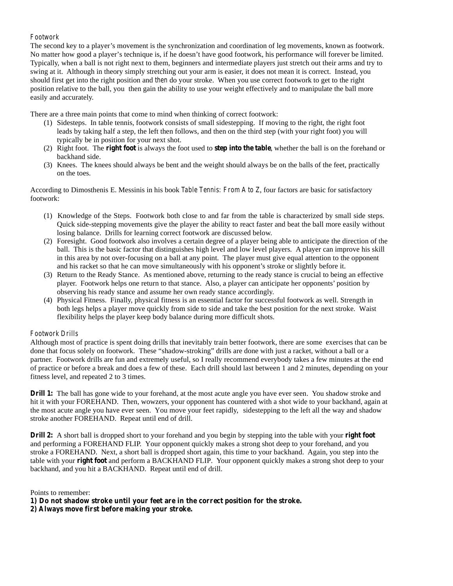## *Footwork*

The second key to a player's movement is the synchronization and coordination of leg movements, known as footwork. No matter how good a player's technique is, if he doesn't have good footwork, his performance will forever be limited. Typically, when a ball is not right next to them, beginners and intermediate players just stretch out their arms and try to swing at it. Although in theory simply stretching out your arm is easier, it does not mean it is correct. Instead, you should first get into the right position and *then* do your stroke. When you use correct footwork to get to the right position relative to the ball, you then gain the ability to use your weight effectively and to manipulate the ball more easily and accurately.

There are a three main points that come to mind when thinking of correct footwork:

- (1) Sidesteps. In table tennis, footwork consists of small sidestepping. If moving to the right, the right foot leads by taking half a step, the left then follows, and then on the third step (with your right foot) you will typically be in position for your next shot.
- (2) Right foot. The **right foot** is always the foot used to **step into the table**, whether the ball is on the forehand or backhand side.
- (3) Knees. The knees should always be bent and the weight should always be on the balls of the feet, practically on the toes.

According to Dimosthenis E. Messinis in his book *Table Tennis: From A to Z*, four factors are basic for satisfactory footwork:

- (1) Knowledge of the Steps. Footwork both close to and far from the table is characterized by small side steps. Quick side-stepping movements give the player the ability to react faster and beat the ball more easily without losing balance. Drills for learning correct footwork are discussed below.
- (2) Foresight. Good footwork also involves a certain degree of a player being able to anticipate the direction of the ball. This is the basic factor that distinguishes high level and low level players. A player can improve his skill in this area by not over-focusing on a ball at any point. The player must give equal attention to the opponent and his racket so that he can move simultaneously with his opponent's stroke or slightly before it.
- (3) Return to the Ready Stance. As mentioned above, returning to the ready stance is crucial to being an effective player. Footwork helps one return to that stance. Also, a player can anticipate her opponents' position by observing his ready stance and assume her own ready stance accordingly.
- (4) Physical Fitness. Finally, physical fitness is an essential factor for successful footwork as well. Strength in both legs helps a player move quickly from side to side and take the best position for the next stroke. Waist flexibility helps the player keep body balance during more difficult shots.

## *Footwork Drills*

Although most of practice is spent doing drills that inevitably train better footwork, there are some exercises that can be done that focus solely on footwork. These "shadow-stroking" drills are done with just a racket, without a ball or a partner. Footwork drills are fun and extremely useful, so I really recommend everybody takes a few minutes at the end of practice or before a break and does a few of these. Each drill should lastbetween 1 and 2 minutes, depending on your fitness level, and repeated 2 to 3 times.

**Drill 1:** The ball has gone wide to your forehand, at the most acute angle you have ever seen. You shadow stroke and hit it with your FOREHAND. Then, wowzers, your opponent has countered with a shot wide to your backhand, again at the most acute angle you have ever seen. You move your feet rapidly, sidestepping to the left all the way and shadow stroke another FOREHAND. Repeat until end of drill.

**Drill 2:** A short ball is dropped short to your forehand and you begin by stepping into the table with your **right foot** and performing a FOREHAND FLIP. Your opponent quickly makes a strong shot deep to your forehand, and you stroke a FOREHAND. Next, a short ball is dropped short again, this time to your backhand. Again, you step into the table with your **right foot** and perform a BACKHAND FLIP. Your opponent quickly makes a strong shot deep to your backhand, and you hit a BACKHAND. Repeat until end of drill.

Points to remember:

**1) Do not shadow stroke until your feet are in the correct position for the stroke.**

**2) Always move first before making your stroke.**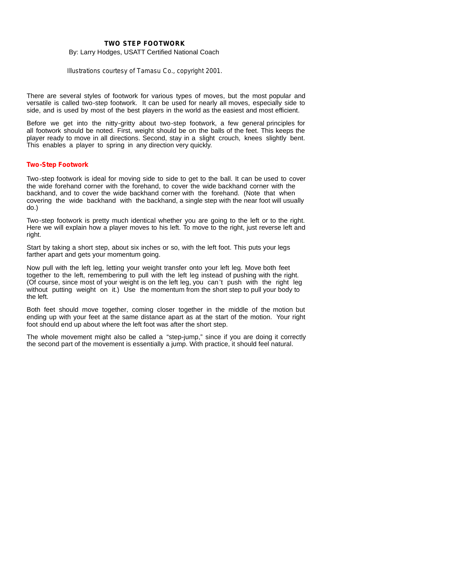#### **TWO STEP FOOTWORK**

By: Larry Hodges, USATT Certified National Coach

*Illustrations courtesy of Tamasu Co., copyright 2001.*

There are several styles of footwork for various types of moves, but the most popular and versatile is called two-step footwork. It can be used fornearly all moves, especially side to side, and is used by most of the best players in the world as the easiest and most efficient.

Before we get into the nitty-gritty about two-step footwork, a few general principles for all footwork should be noted. First, weight should be on the balls of the feet. This keeps the player ready to move in all directions. Second, stay in a slight crouch, knees slightly bent. This enables a player to spring in any direction very quickly.

#### **Two-Step Footwork**

Two-step footwork is ideal for moving side to side to get to the ball. It can be used to cover the wide forehand corner with the forehand, to cover the wide backhand corner with the backhand, and to cover the wide backhand corner with the forehand. (Note that when covering the wide backhand with the backhand, a single step with the near foot will usually do.)

Two-step footwork is pretty much identical whether you are going to the left or to the right. Here we will explain how a player moves to his left. To move to the right, just reverse left and right.

Start by taking a short step, about six inches or so, with the left foot. This puts your legs farther apart and gets your momentum going.

Now pull with the left leg, letting your weight transfer onto your left leg. Move both feet together to the left, remembering to pull with the left leg instead of pushing with the right. (Of course, since most of your weight is on the left leg, you can't push with the right leg without putting weight on it.) Use the momentum from the short step to pull your body to the left.

Both feet should move together, coming closer together in the middle of the motion but ending up with your feet at the same distance apart as at the start of the motion. Your right foot should end up about where the left foot was after the short step.

The whole movement might also be called a "step-jump," since if you are doing it correctly the second part of the movement is essentially a jump. With practice, it should feel natural.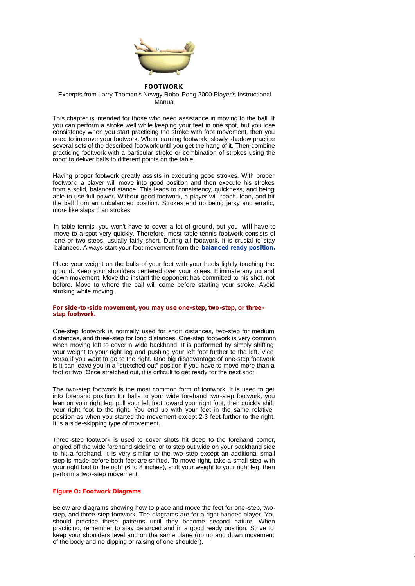

#### **FOOTWORK**

#### Excerpts from Larry Thoman's Newgy Robo-Pong 2000 Player's Instructional Manual

This chapter is intended for those who need assistance in moving to the ball. If you can perform a stroke well while keeping your feet in one spot, but you lose consistency when you start practicing the stroke with foot movement, then you need to improve your footwork. When learning footwork, slowly shadow practice several sets of the described footwork until you get the hang of it. Then combine practicing footwork with a particular stroke or combination of strokes using the robot to deliver balls to different points on the table.

Having proper footwork greatly assists in executing good strokes. With proper footwork, a player will move into good position and then execute his strokes from a solid, balanced stance. This leads to consistency, quickness, and being able to use full power. Without good footwork, a player will reach, lean, and hit the ball from an unbalanced position. Strokes end up being jerky and erratic, more like slaps than strokes.

In table tennis, you won't have to cover a lot of ground, but you **will** have to move to a spot very quickly. Therefore, most table tennis footwork consists of one or two steps, usually fairly short. During all footwork, it is crucial to stay balanced. Always start your foot movement from the **balanced ready position.**

Place your weight on the balls of your feet with your heels lightly touching the ground. Keep your shoulders centered over your knees. Eliminate any up and down movement. Move the instant the opponent has committed to his shot, not before. Move to where the ball will come before starting your stroke. Avoid stroking while moving.

#### **For side -to-side movement, you may use one-step, two-step, or three step footwork.**

One-step footwork is normally used for short distances, two-step for medium distances, and three-step for long distances. One-step footwork is very common when moving left to cover a wide backhand. It is performed by simply shifting your weight to your right leg and pushing your left foot further to the left. Vice versa if you want to go to the right. One big disadvantage of one-step footwork is it can leave you in a "stretched out" position if you have to move more than a foot or two. Once stretched out, it is difficult to get ready for the next shot.

The two-step footwork is the most common form of footwork. It is used to get into forehand position for balls to your wide forehand two -step footwork, you lean on your right leg, pull your left foot toward your right foot, then quickly shift your right foot to the right. You end up with your feet in the same relative position as when you started the movement except 2-3 feet further to the right. It is a side-skipping type of movement.

Three-step footwork is used to cover shots hit deep to the forehand comer, angled off the wide forehand sideline, or to step out wide on your backhand side to hit a forehand. It is very similar to the two -step except an additional small step is made before both feet are shifted. To move right, take a small step with your right foot to the right (6 to 8 inches), shift your weight to your right leg, then perform a two -step movement.

### **Figure O: Footwork Diagrams**

Below are diagrams showing how to place and move the feet for one-step, twostep, and three-step footwork. The diagrams are for a right-handed player. You should practice these patterns until they become second nature. When practicing, remember to stay balanced and in a good ready position. Strive to keep your shoulders level and on the same plane (no up and down movement of the body and no dipping or raising of one shoulder).